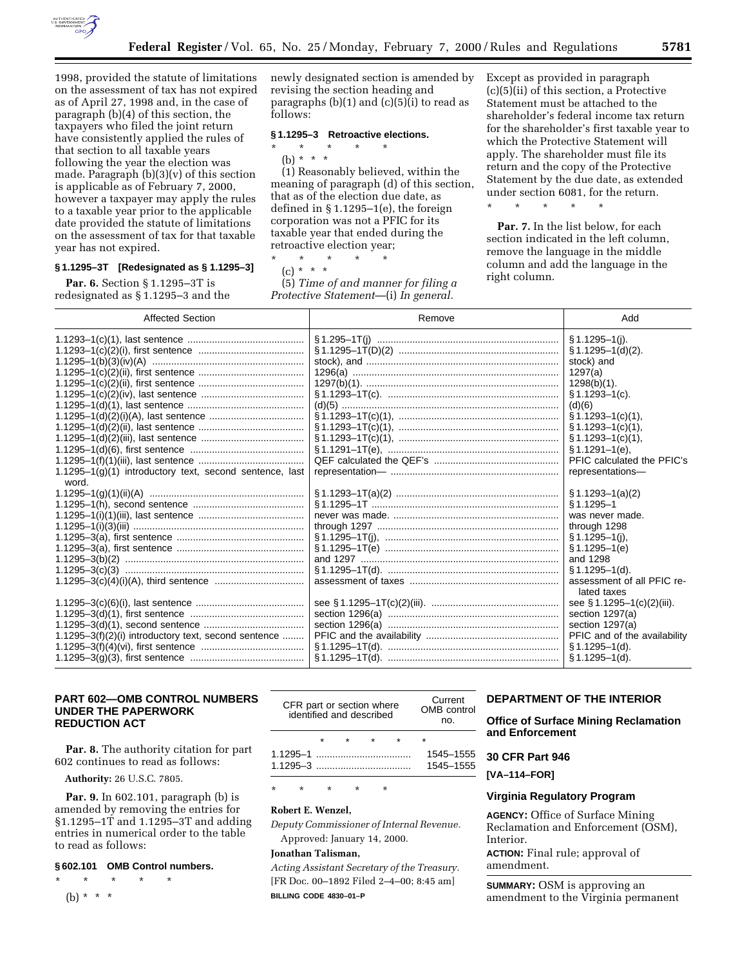

1998, provided the statute of limitations on the assessment of tax has not expired as of April 27, 1998 and, in the case of paragraph (b)(4) of this section, the taxpayers who filed the joint return have consistently applied the rules of that section to all taxable years following the year the election was made. Paragraph (b)(3)(v) of this section is applicable as of February 7, 2000, however a taxpayer may apply the rules to a taxable year prior to the applicable date provided the statute of limitations on the assessment of tax for that taxable year has not expired.

# **§ 1.1295–3T [Redesignated as § 1.1295–3]**

**Par. 6.** Section § 1.1295-3T is redesignated as § 1.1295–3 and the newly designated section is amended by revising the section heading and paragraphs  $(b)(1)$  and  $(c)(5)(i)$  to read as follows:

## **§ 1.1295–3 Retroactive elections.**

\* \* \* \* \*

(b) \* \* \* (1) Reasonably believed, within the meaning of paragraph (d) of this section, that as of the election due date, as defined in § 1.1295–1(e), the foreign corporation was not a PFIC for its taxable year that ended during the retroactive election year;

\* \* \* \* \*

(c) \* \* \*

(5) *Time of and manner for filing a Protective Statement*—(i) *In general.*

Except as provided in paragraph (c)(5)(ii) of this section, a Protective Statement must be attached to the shareholder's federal income tax return for the shareholder's first taxable year to which the Protective Statement will apply. The shareholder must file its return and the copy of the Protective Statement by the due date, as extended under section 6081, for the return.

\* \* \* \* \*

**Par. 7.** In the list below, for each section indicated in the left column, remove the language in the middle column and add the language in the right column.

| <b>Affected Section</b>                                         | Remove | Add                                                                                                                                                                                                                                                                                                                                        |
|-----------------------------------------------------------------|--------|--------------------------------------------------------------------------------------------------------------------------------------------------------------------------------------------------------------------------------------------------------------------------------------------------------------------------------------------|
| $1.1295-1(q)(1)$ introductory text, second sentence, last       |        | $§ 1.1295 - 1(i).$<br>$\S 1.1295 - 1(d)(2)$ .<br>stock) and<br>1297(a)<br>$1298(b)(1)$ .<br>$§ 1.1293 - 1(c).$<br>(d)(6)<br>$$1.1293 - 1(c)(1)$ ,<br>$\S 1.1293 - 1(c)(1)$ ,<br>$\S 1.1293 - 1(c)(1)$ ,<br>$§ 1.1291 - 1(e),$<br>PFIC calculated the PFIC's<br>representations-                                                            |
| word.<br>$1.1295-3(f)(2)(i)$ introductory text, second sentence |        | $\S 1.1293 - 1(a)(2)$<br>$§ 1.1295 - 1$<br>was never made.<br>through 1298<br>$§ 1.1295 - 1(i),$<br>\$1.1295–1(e)<br>and 1298<br>$$1.1295-1(d).$<br>assessment of all PFIC re-<br>lated taxes<br>see § 1.1295-1(c)(2)(iii).<br>section 1297(a)<br>section 1297(a)<br>PFIC and of the availability<br>$$1.1295-1(d).$<br>$§ 1.1295 - 1(d).$ |

# **PART 602—OMB CONTROL NUMBERS UNDER THE PAPERWORK REDUCTION ACT**

**Par. 8.** The authority citation for part 602 continues to read as follows:

**Authority:** 26 U.S.C. 7805.

**Par. 9.** In 602.101, paragraph (b) is amended by removing the entries for §1.1295–1T and 1.1295–3T and adding entries in numerical order to the table to read as follows:

## **§ 602.101 OMB Control numbers.**

\* \* \* \* \* (b) \* \* \*

| CFR part or section where<br>identified and described |  |  |  |  | Current<br>OMB control<br>nn. |           |
|-------------------------------------------------------|--|--|--|--|-------------------------------|-----------|
|                                                       |  |  |  |  |                               |           |
|                                                       |  |  |  |  |                               | 1545-1555 |
|                                                       |  |  |  |  |                               | 1545-1555 |
|                                                       |  |  |  |  |                               |           |

\* \* \* \* \*

# **Robert E. Wenzel,**

*Deputy Commissioner of Internal Revenue.* Approved: January 14, 2000.

#### **Jonathan Talisman,**

*Acting Assistant Secretary of the Treasury.* [FR Doc. 00–1892 Filed 2–4–00; 8:45 am] **BILLING CODE 4830–01–P**

# **DEPARTMENT OF THE INTERIOR**

**Office of Surface Mining Reclamation and Enforcement**

# **30 CFR Part 946**

**[VA–114–FOR]**

## **Virginia Regulatory Program**

**AGENCY:** Office of Surface Mining Reclamation and Enforcement (OSM), Interior.

**ACTION:** Final rule; approval of amendment.

**SUMMARY:** OSM is approving an amendment to the Virginia permanent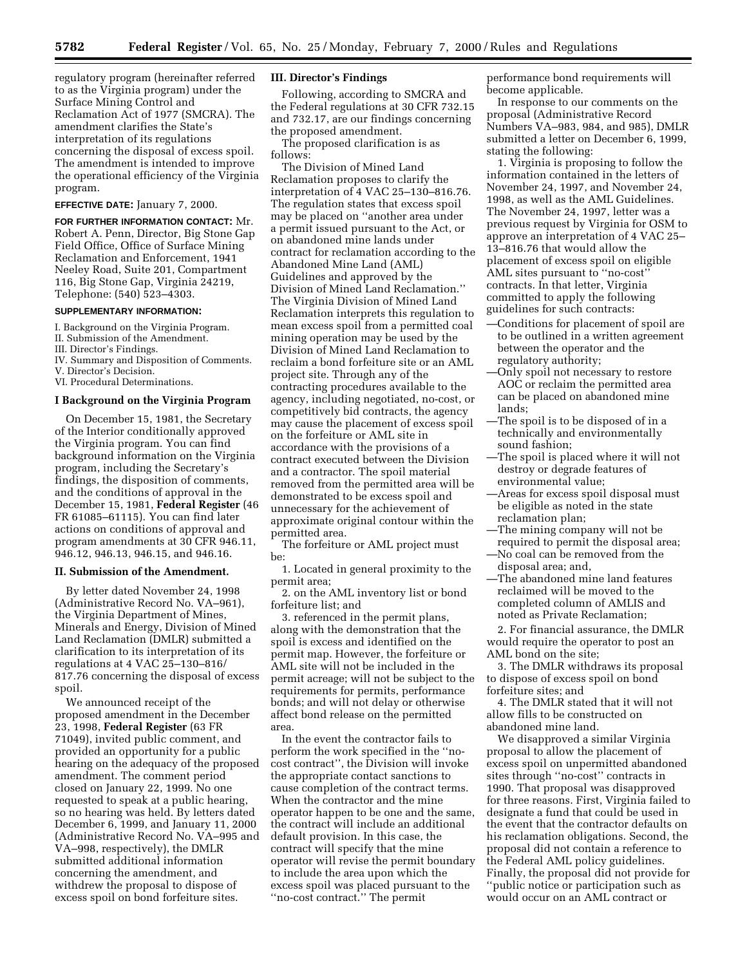regulatory program (hereinafter referred to as the Virginia program) under the Surface Mining Control and Reclamation Act of 1977 (SMCRA). The amendment clarifies the State's interpretation of its regulations concerning the disposal of excess spoil. The amendment is intended to improve the operational efficiency of the Virginia program.

#### **EFFECTIVE DATE:** January 7, 2000.

**FOR FURTHER INFORMATION CONTACT:** Mr. Robert A. Penn, Director, Big Stone Gap Field Office, Office of Surface Mining Reclamation and Enforcement, 1941 Neeley Road, Suite 201, Compartment 116, Big Stone Gap, Virginia 24219, Telephone: (540) 523–4303.

#### **SUPPLEMENTARY INFORMATION:**

- I. Background on the Virginia Program.
- II. Submission of the Amendment.
- III. Director's Findings.
- IV. Summary and Disposition of Comments.
- V. Director's Decision.

# VI. Procedural Determinations.

# **I Background on the Virginia Program**

On December 15, 1981, the Secretary of the Interior conditionally approved the Virginia program. You can find background information on the Virginia program, including the Secretary's findings, the disposition of comments, and the conditions of approval in the December 15, 1981, **Federal Register** (46 FR 61085–61115). You can find later actions on conditions of approval and program amendments at 30 CFR 946.11, 946.12, 946.13, 946.15, and 946.16.

#### **II. Submission of the Amendment.**

By letter dated November 24, 1998 (Administrative Record No. VA–961), the Virginia Department of Mines, Minerals and Energy, Division of Mined Land Reclamation (DMLR) submitted a clarification to its interpretation of its regulations at 4 VAC 25–130–816/ 817.76 concerning the disposal of excess spoil.

We announced receipt of the proposed amendment in the December 23, 1998, **Federal Register** (63 FR 71049), invited public comment, and provided an opportunity for a public hearing on the adequacy of the proposed amendment. The comment period closed on January 22, 1999. No one requested to speak at a public hearing, so no hearing was held. By letters dated December 6, 1999, and January 11, 2000 (Administrative Record No. VA–995 and VA–998, respectively), the DMLR submitted additional information concerning the amendment, and withdrew the proposal to dispose of excess spoil on bond forfeiture sites.

#### **III. Director's Findings**

Following, according to SMCRA and the Federal regulations at 30 CFR 732.15 and 732.17, are our findings concerning the proposed amendment.

The proposed clarification is as follows:

The Division of Mined Land Reclamation proposes to clarify the interpretation of 4 VAC 25–130–816.76. The regulation states that excess spoil may be placed on ''another area under a permit issued pursuant to the Act, or on abandoned mine lands under contract for reclamation according to the Abandoned Mine Land (AML) Guidelines and approved by the Division of Mined Land Reclamation.'' The Virginia Division of Mined Land Reclamation interprets this regulation to mean excess spoil from a permitted coal mining operation may be used by the Division of Mined Land Reclamation to reclaim a bond forfeiture site or an AML project site. Through any of the contracting procedures available to the agency, including negotiated, no-cost, or competitively bid contracts, the agency may cause the placement of excess spoil on the forfeiture or AML site in accordance with the provisions of a contract executed between the Division and a contractor. The spoil material removed from the permitted area will be demonstrated to be excess spoil and unnecessary for the achievement of approximate original contour within the permitted area.

The forfeiture or AML project must be:

1. Located in general proximity to the permit area;

2. on the AML inventory list or bond forfeiture list; and

3. referenced in the permit plans, along with the demonstration that the spoil is excess and identified on the permit map. However, the forfeiture or AML site will not be included in the permit acreage; will not be subject to the requirements for permits, performance bonds; and will not delay or otherwise affect bond release on the permitted area.

In the event the contractor fails to perform the work specified in the ''nocost contract'', the Division will invoke the appropriate contact sanctions to cause completion of the contract terms. When the contractor and the mine operator happen to be one and the same, the contract will include an additional default provision. In this case, the contract will specify that the mine operator will revise the permit boundary to include the area upon which the excess spoil was placed pursuant to the ''no-cost contract.'' The permit

performance bond requirements will become applicable.

In response to our comments on the proposal (Administrative Record Numbers VA–983, 984, and 985), DMLR submitted a letter on December 6, 1999, stating the following:

1. Virginia is proposing to follow the information contained in the letters of November 24, 1997, and November 24, 1998, as well as the AML Guidelines. The November 24, 1997, letter was a previous request by Virginia for OSM to approve an interpretation of 4 VAC 25– 13–816.76 that would allow the placement of excess spoil on eligible AML sites pursuant to ''no-cost'' contracts. In that letter, Virginia committed to apply the following guidelines for such contracts:

- —Conditions for placement of spoil are to be outlined in a written agreement between the operator and the regulatory authority;
- —Only spoil not necessary to restore AOC or reclaim the permitted area can be placed on abandoned mine lands;
- —The spoil is to be disposed of in a technically and environmentally sound fashion;
- —The spoil is placed where it will not destroy or degrade features of environmental value;
- —Areas for excess spoil disposal must be eligible as noted in the state reclamation plan;
- —The mining company will not be required to permit the disposal area; —No coal can be removed from the disposal area; and,
- —The abandoned mine land features reclaimed will be moved to the completed column of AMLIS and noted as Private Reclamation;

2. For financial assurance, the DMLR would require the operator to post an AML bond on the site;

3. The DMLR withdraws its proposal to dispose of excess spoil on bond forfeiture sites; and

4. The DMLR stated that it will not allow fills to be constructed on abandoned mine land.

We disapproved a similar Virginia proposal to allow the placement of excess spoil on unpermitted abandoned sites through ''no-cost'' contracts in 1990. That proposal was disapproved for three reasons. First, Virginia failed to designate a fund that could be used in the event that the contractor defaults on his reclamation obligations. Second, the proposal did not contain a reference to the Federal AML policy guidelines. Finally, the proposal did not provide for ''public notice or participation such as would occur on an AML contract or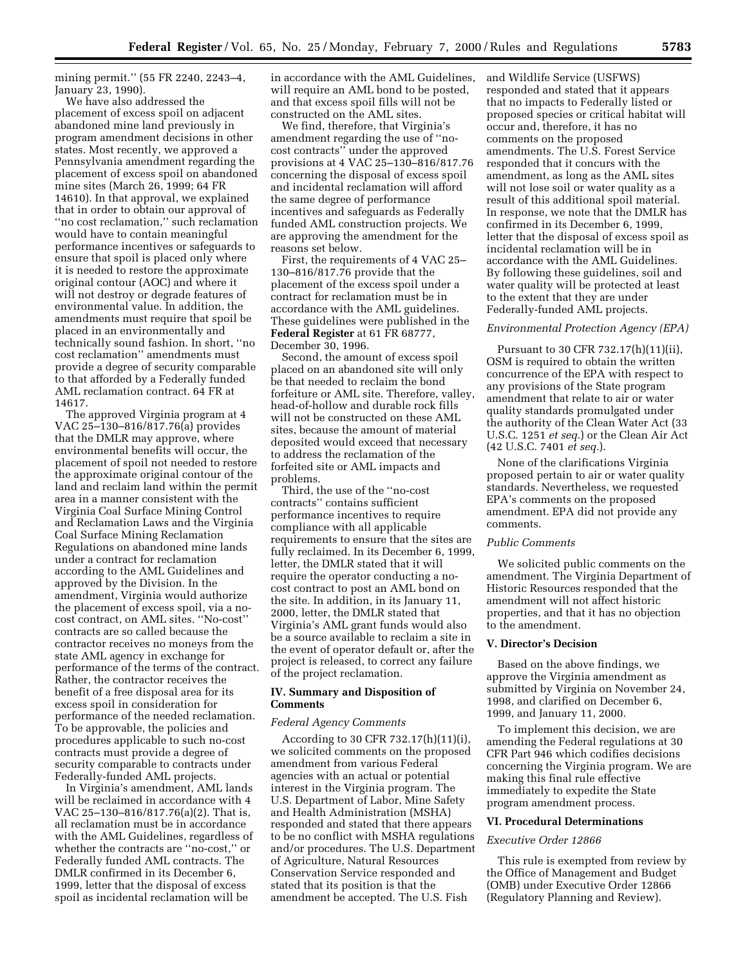mining permit.'' (55 FR 2240, 2243–4, January 23, 1990).

We have also addressed the placement of excess spoil on adjacent abandoned mine land previously in program amendment decisions in other states. Most recently, we approved a Pennsylvania amendment regarding the placement of excess spoil on abandoned mine sites (March 26, 1999; 64 FR 14610). In that approval, we explained that in order to obtain our approval of ''no cost reclamation,'' such reclamation would have to contain meaningful performance incentives or safeguards to ensure that spoil is placed only where it is needed to restore the approximate original contour (AOC) and where it will not destroy or degrade features of environmental value. In addition, the amendments must require that spoil be placed in an environmentally and technically sound fashion. In short, ''no cost reclamation'' amendments must provide a degree of security comparable to that afforded by a Federally funded AML reclamation contract. 64 FR at 14617.

The approved Virginia program at 4 VAC 25–130–816/817.76(a) provides that the DMLR may approve, where environmental benefits will occur, the placement of spoil not needed to restore the approximate original contour of the land and reclaim land within the permit area in a manner consistent with the Virginia Coal Surface Mining Control and Reclamation Laws and the Virginia Coal Surface Mining Reclamation Regulations on abandoned mine lands under a contract for reclamation according to the AML Guidelines and approved by the Division. In the amendment, Virginia would authorize the placement of excess spoil, via a nocost contract, on AML sites. ''No-cost'' contracts are so called because the contractor receives no moneys from the state AML agency in exchange for performance of the terms of the contract. Rather, the contractor receives the benefit of a free disposal area for its excess spoil in consideration for performance of the needed reclamation. To be approvable, the policies and procedures applicable to such no-cost contracts must provide a degree of security comparable to contracts under Federally-funded AML projects.

In Virginia's amendment, AML lands will be reclaimed in accordance with 4 VAC 25–130–816/817.76(a)(2). That is, all reclamation must be in accordance with the AML Guidelines, regardless of whether the contracts are ''no-cost,'' or Federally funded AML contracts. The DMLR confirmed in its December 6, 1999, letter that the disposal of excess spoil as incidental reclamation will be

in accordance with the AML Guidelines, will require an AML bond to be posted, and that excess spoil fills will not be constructed on the AML sites.

We find, therefore, that Virginia's amendment regarding the use of ''nocost contracts'' under the approved provisions at 4 VAC 25–130–816/817.76 concerning the disposal of excess spoil and incidental reclamation will afford the same degree of performance incentives and safeguards as Federally funded AML construction projects. We are approving the amendment for the reasons set below.

First, the requirements of 4 VAC 25– 130–816/817.76 provide that the placement of the excess spoil under a contract for reclamation must be in accordance with the AML guidelines. These guidelines were published in the **Federal Register** at 61 FR 68777, December 30, 1996.

Second, the amount of excess spoil placed on an abandoned site will only be that needed to reclaim the bond forfeiture or AML site. Therefore, valley, head-of-hollow and durable rock fills will not be constructed on these AML sites, because the amount of material deposited would exceed that necessary to address the reclamation of the forfeited site or AML impacts and problems.

Third, the use of the ''no-cost contracts'' contains sufficient performance incentives to require compliance with all applicable requirements to ensure that the sites are fully reclaimed. In its December 6, 1999, letter, the DMLR stated that it will require the operator conducting a nocost contract to post an AML bond on the site. In addition, in its January 11, 2000, letter, the DMLR stated that Virginia's AML grant funds would also be a source available to reclaim a site in the event of operator default or, after the project is released, to correct any failure of the project reclamation.

## **IV. Summary and Disposition of Comments**

#### *Federal Agency Comments*

According to 30 CFR 732.17(h)(11)(i), we solicited comments on the proposed amendment from various Federal agencies with an actual or potential interest in the Virginia program. The U.S. Department of Labor, Mine Safety and Health Administration (MSHA) responded and stated that there appears to be no conflict with MSHA regulations and/or procedures. The U.S. Department of Agriculture, Natural Resources Conservation Service responded and stated that its position is that the amendment be accepted. The U.S. Fish

and Wildlife Service (USFWS) responded and stated that it appears that no impacts to Federally listed or proposed species or critical habitat will occur and, therefore, it has no comments on the proposed amendments. The U.S. Forest Service responded that it concurs with the amendment, as long as the AML sites will not lose soil or water quality as a result of this additional spoil material. In response, we note that the DMLR has confirmed in its December 6, 1999, letter that the disposal of excess spoil as incidental reclamation will be in accordance with the AML Guidelines. By following these guidelines, soil and water quality will be protected at least to the extent that they are under Federally-funded AML projects.

## *Environmental Protection Agency (EPA)*

Pursuant to 30 CFR 732.17(h)(11)(ii), OSM is required to obtain the written concurrence of the EPA with respect to any provisions of the State program amendment that relate to air or water quality standards promulgated under the authority of the Clean Water Act (33 U.S.C. 1251 *et seq.*) or the Clean Air Act (42 U.S.C. 7401 *et seq.*).

None of the clarifications Virginia proposed pertain to air or water quality standards. Nevertheless, we requested EPA's comments on the proposed amendment. EPA did not provide any comments.

## *Public Comments*

We solicited public comments on the amendment. The Virginia Department of Historic Resources responded that the amendment will not affect historic properties, and that it has no objection to the amendment.

## **V. Director's Decision**

Based on the above findings, we approve the Virginia amendment as submitted by Virginia on November 24, 1998, and clarified on December 6, 1999, and January 11, 2000.

To implement this decision, we are amending the Federal regulations at 30 CFR Part 946 which codifies decisions concerning the Virginia program. We are making this final rule effective immediately to expedite the State program amendment process.

# **VI. Procedural Determinations**

#### *Executive Order 12866*

This rule is exempted from review by the Office of Management and Budget (OMB) under Executive Order 12866 (Regulatory Planning and Review).